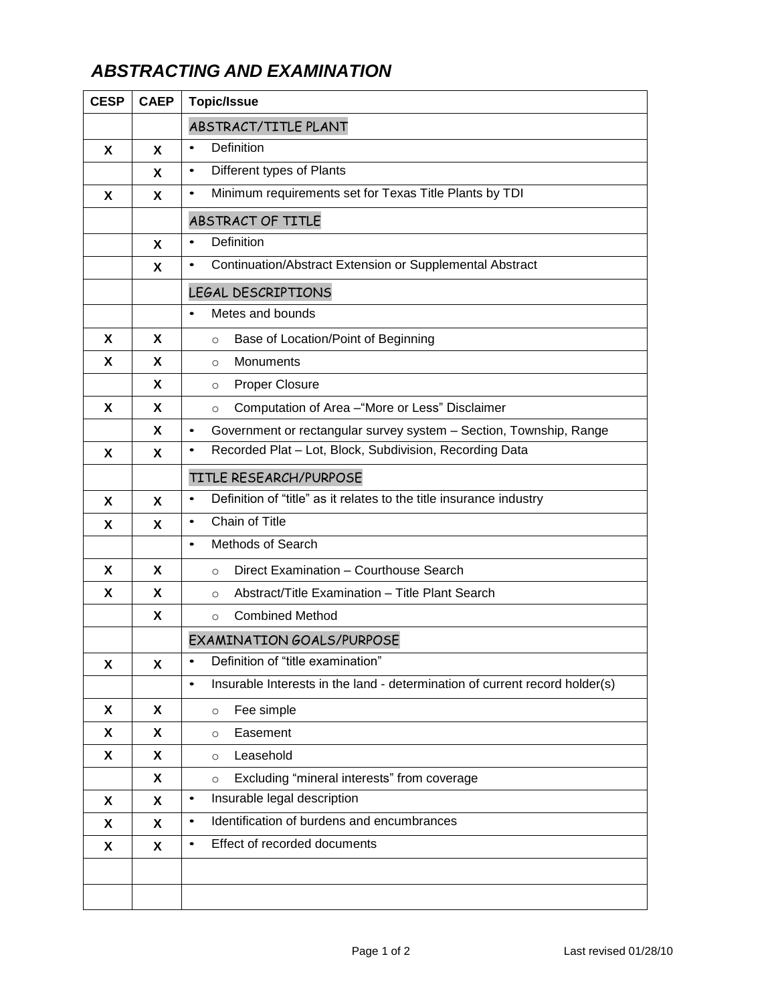## *ABSTRACTING AND EXAMINATION*

| <b>CESP</b> | <b>CAEP</b> | <b>Topic/Issue</b>                                                                       |
|-------------|-------------|------------------------------------------------------------------------------------------|
|             |             | ABSTRACT/TITLE PLANT                                                                     |
| X           | X           | Definition<br>$\bullet$                                                                  |
|             | X           | Different types of Plants<br>$\bullet$                                                   |
| X           | X           | Minimum requirements set for Texas Title Plants by TDI<br>$\bullet$                      |
|             |             | ABSTRACT OF TITLE                                                                        |
|             | X           | Definition<br>$\bullet$                                                                  |
|             | X           | Continuation/Abstract Extension or Supplemental Abstract<br>$\bullet$                    |
|             |             | LEGAL DESCRIPTIONS                                                                       |
|             |             | Metes and bounds<br>$\bullet$                                                            |
| X           | X.          | Base of Location/Point of Beginning<br>$\circ$                                           |
| X           | X           | Monuments<br>$\circ$                                                                     |
|             | X.          | <b>Proper Closure</b><br>$\circ$                                                         |
| X           | X           | Computation of Area -"More or Less" Disclaimer<br>$\circ$                                |
|             | X           | Government or rectangular survey system - Section, Township, Range<br>$\bullet$          |
| X           | X           | Recorded Plat - Lot, Block, Subdivision, Recording Data<br>$\bullet$                     |
|             |             | TITLE RESEARCH/PURPOSE                                                                   |
| X           | X           | Definition of "title" as it relates to the title insurance industry<br>$\bullet$         |
| X           | X           | Chain of Title<br>$\bullet$                                                              |
|             |             | <b>Methods of Search</b><br>$\bullet$                                                    |
| X           | X           | Direct Examination - Courthouse Search<br>$\Omega$                                       |
| X           | X           | Abstract/Title Examination - Title Plant Search<br>$\circ$                               |
|             | X           | <b>Combined Method</b><br>$\circ$                                                        |
|             |             | EXAMINATION GOALS/PURPOSE                                                                |
| X           | χ           | Definition of "title examination"                                                        |
|             |             | Insurable Interests in the land - determination of current record holder(s)<br>$\bullet$ |
| X           | X           | Fee simple<br>$\circ$                                                                    |
| X           | X           | Easement<br>$\circ$                                                                      |
| X           | X           | Leasehold<br>$\circ$                                                                     |
|             | X           | Excluding "mineral interests" from coverage<br>$\circ$                                   |
| X           | X           | Insurable legal description<br>$\bullet$                                                 |
| X           | X           | Identification of burdens and encumbrances<br>$\bullet$                                  |
| X           | X           | Effect of recorded documents<br>$\bullet$                                                |
|             |             |                                                                                          |
|             |             |                                                                                          |